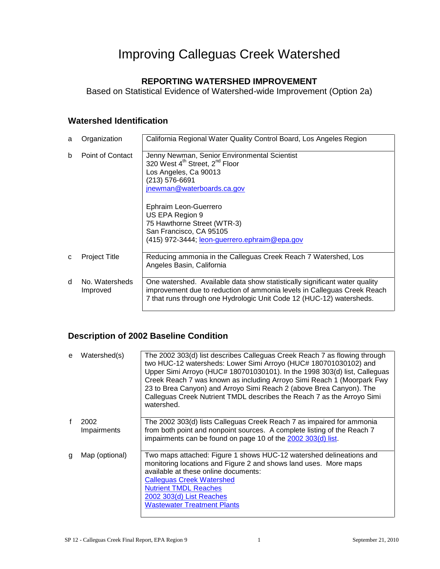# Improving Calleguas Creek Watershed

#### **REPORTING WATERSHED IMPROVEMENT**

Based on Statistical Evidence of Watershed-wide Improvement (Option 2a)

#### **Watershed Identification**

| a            | Organization               | California Regional Water Quality Control Board, Los Angeles Region                                                                                                                                                           |
|--------------|----------------------------|-------------------------------------------------------------------------------------------------------------------------------------------------------------------------------------------------------------------------------|
| <sub>b</sub> | Point of Contact           | Jenny Newman, Senior Environmental Scientist<br>320 West 4 <sup>th</sup> Street, 2 <sup>nd</sup> Floor<br>Los Angeles, Ca 90013<br>(213) 576-6691<br>jnewman@waterboards.ca.gov                                               |
|              |                            | Ephraim Leon-Guerrero<br>US EPA Region 9<br>75 Hawthorne Street (WTR-3)<br>San Francisco, CA 95105<br>(415) 972-3444; leon-guerrero.ephraim@epa.gov                                                                           |
| C            | Project Title              | Reducing ammonia in the Calleguas Creek Reach 7 Watershed, Los<br>Angeles Basin, California                                                                                                                                   |
| <sub>d</sub> | No. Watersheds<br>Improved | One watershed. Available data show statistically significant water quality<br>improvement due to reduction of ammonia levels in Calleguas Creek Reach<br>7 that runs through one Hydrologic Unit Code 12 (HUC-12) watersheds. |

#### **Description of 2002 Baseline Condition**

| e | Watershed(s)        | The 2002 303(d) list describes Calleguas Creek Reach 7 as flowing through<br>two HUC-12 watersheds: Lower Simi Arroyo (HUC# 180701030102) and<br>Upper Simi Arroyo (HUC# 180701030101). In the 1998 303(d) list, Calleguas<br>Creek Reach 7 was known as including Arroyo Simi Reach 1 (Moorpark Fwy<br>23 to Brea Canyon) and Arroyo Simi Reach 2 (above Brea Canyon). The<br>Calleguas Creek Nutrient TMDL describes the Reach 7 as the Arroyo Simi<br>watershed. |
|---|---------------------|---------------------------------------------------------------------------------------------------------------------------------------------------------------------------------------------------------------------------------------------------------------------------------------------------------------------------------------------------------------------------------------------------------------------------------------------------------------------|
|   | 2002<br>Impairments | The 2002 303(d) lists Calleguas Creek Reach 7 as impaired for ammonia<br>from both point and nonpoint sources. A complete listing of the Reach 7<br>impairments can be found on page 10 of the 2002 303(d) list.                                                                                                                                                                                                                                                    |
| g | Map (optional)      | Two maps attached: Figure 1 shows HUC-12 watershed delineations and<br>monitoring locations and Figure 2 and shows land uses. More maps<br>available at these online documents:<br><b>Calleguas Creek Watershed</b><br><b>Nutrient TMDL Reaches</b><br>2002 303(d) List Reaches<br><b>Wastewater Treatment Plants</b>                                                                                                                                               |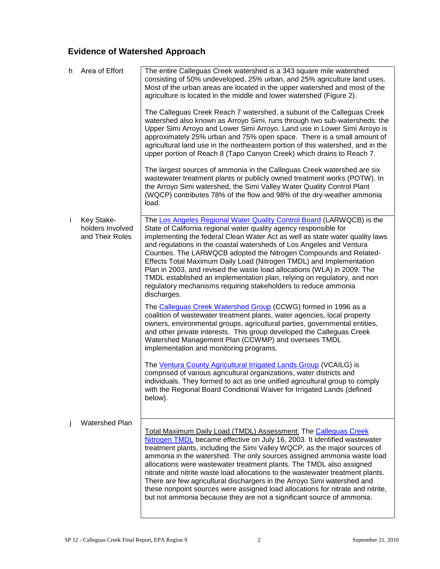## **Evidence of Watershed Approach**

| h. | Area of Effort                                    | The entire Calleguas Creek watershed is a 343 square mile watershed<br>consisting of 50% undeveloped, 25% urban, and 25% agriculture land uses.<br>Most of the urban areas are located in the upper watershed and most of the<br>agriculture is located in the middle and lower watershed (Figure 2).                                                                                                                                                                                                                                                                                                                                                                                                      |
|----|---------------------------------------------------|------------------------------------------------------------------------------------------------------------------------------------------------------------------------------------------------------------------------------------------------------------------------------------------------------------------------------------------------------------------------------------------------------------------------------------------------------------------------------------------------------------------------------------------------------------------------------------------------------------------------------------------------------------------------------------------------------------|
|    |                                                   | The Calleguas Creek Reach 7 watershed, a subunit of the Calleguas Creek<br>watershed also known as Arroyo Simi, runs through two sub-watersheds: the<br>Upper Simi Arroyo and Lower Simi Arroyo. Land use in Lower Simi Arroyo is<br>approximately 25% urban and 75% open space. There is a small amount of<br>agricultural land use in the northeastern portion of this watershed, and in the<br>upper portion of Reach 8 (Tapo Canyon Creek) which drains to Reach 7.                                                                                                                                                                                                                                    |
|    |                                                   | The largest sources of ammonia in the Calleguas Creek watershed are six<br>wastewater treatment plants or publicly owned treatment works (POTW). In<br>the Arroyo Simi watershed, the Simi Valley Water Quality Control Plant<br>(WQCP) contributes 78% of the flow and 98% of the dry-weather ammonia<br>load.                                                                                                                                                                                                                                                                                                                                                                                            |
| j. | Key Stake-<br>holders Involved<br>and Their Roles | The Los Angeles Regional Water Quality Control Board (LARWQCB) is the<br>State of California regional water quality agency responsible for<br>implementing the federal Clean Water Act as well as state water quality laws<br>and regulations in the coastal watersheds of Los Angeles and Ventura<br>Counties. The LARWQCB adopted the Nitrogen Compounds and Related-<br>Effects Total Maximum Daily Load (Nitrogen TMDL) and Implementation<br>Plan in 2003, and revised the waste load allocations (WLA) in 2009. The<br>TMDL established an implementation plan, relying on regulatory, and non<br>regulatory mechanisms requiring stakeholders to reduce ammonia<br>discharges.                      |
|    |                                                   | The Calleguas Creek Watershed Group (CCWG) formed in 1996 as a<br>coalition of wastewater treatment plants, water agencies, local property<br>owners, environmental groups, agricultural parties, governmental entities,<br>and other private interests. This group developed the Calleguas Creek<br>Watershed Management Plan (CCWMP) and oversees TMDL<br>implementation and monitoring programs.                                                                                                                                                                                                                                                                                                        |
|    |                                                   | The Ventura County Agricultural Irrigated Lands Group (VCAILG) is<br>comprised of various agricultural organizations, water districts and<br>individuals. They formed to act as one unified agricultural group to comply<br>with the Regional Board Conditional Waiver for Irrigated Lands (defined<br>below).                                                                                                                                                                                                                                                                                                                                                                                             |
| Ť  | <b>Watershed Plan</b>                             | <b>Total Maximum Daily Load (TMDL) Assessment: The Calleguas Creek</b><br>Nitrogen TMDL became effective on July 16, 2003. It identified wastewater<br>treatment plants, including the Simi Valley WQCP, as the major sources of<br>ammonia in the watershed. The only sources assigned ammonia waste load<br>allocations were wastewater treatment plants. The TMDL also assigned<br>nitrate and nitrite waste load allocations to the wastewater treatment plants.<br>There are few agricultural dischargers in the Arroyo Simi watershed and<br>these nonpoint sources were assigned load allocations for nitrate and nitrite,<br>but not ammonia because they are not a significant source of ammonia. |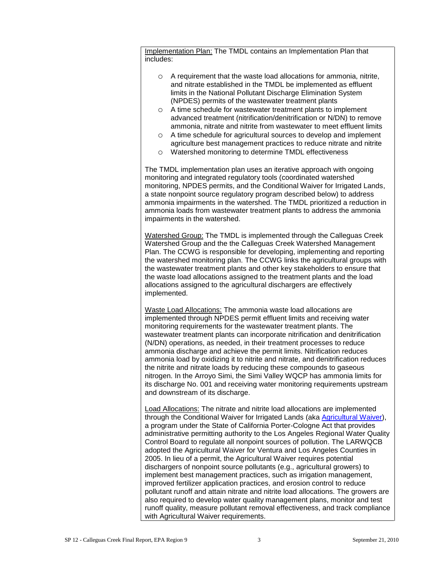Implementation Plan: The TMDL contains an Implementation Plan that includes:

- $\circ$  A requirement that the waste load allocations for ammonia, nitrite, and nitrate established in the TMDL be implemented as effluent limits in the National Pollutant Discharge Elimination System (NPDES) permits of the wastewater treatment plants
- o A time schedule for wastewater treatment plants to implement advanced treatment (nitrification/denitrification or N/DN) to remove ammonia, nitrate and nitrite from wastewater to meet effluent limits
- o A time schedule for agricultural sources to develop and implement agriculture best management practices to reduce nitrate and nitrite
- o Watershed monitoring to determine TMDL effectiveness

The TMDL implementation plan uses an iterative approach with ongoing monitoring and integrated regulatory tools (coordinated watershed monitoring, NPDES permits, and the Conditional Waiver for Irrigated Lands, a state nonpoint source regulatory program described below) to address ammonia impairments in the watershed. The TMDL prioritized a reduction in ammonia loads from wastewater treatment plants to address the ammonia impairments in the watershed.

Watershed Group: The TMDL is implemented through the Calleguas Creek Watershed Group and the the Calleguas Creek Watershed Management Plan. The CCWG is responsible for developing, implementing and reporting the watershed monitoring plan. The CCWG links the agricultural groups with the wastewater treatment plants and other key stakeholders to ensure that the waste load allocations assigned to the treatment plants and the load allocations assigned to the agricultural dischargers are effectively implemented.

Waste Load Allocations: The ammonia waste load allocations are implemented through NPDES permit effluent limits and receiving water monitoring requirements for the wastewater treatment plants. The wastewater treatment plants can incorporate nitrification and denitrification (N/DN) operations, as needed, in their treatment processes to reduce ammonia discharge and achieve the permit limits. Nitrification reduces ammonia load by oxidizing it to nitrite and nitrate, and denitrification reduces the nitrite and nitrate loads by reducing these compounds to gaseous nitrogen. In the Arroyo Simi, the Simi Valley WQCP has ammonia limits for its discharge No. 001 and receiving water monitoring requirements upstream and downstream of its discharge.

Load Allocations: The nitrate and nitrite load allocations are implemented through the Conditional Waiver for Irrigated Lands (aka [Agricultural Waiver\)](http://www.waterboards.ca.gov/losangeles/water_issues/programs/tmdl/waivers/index.shtml), a program under the State of California Porter-Cologne Act that provides administrative permitting authority to the Los Angeles Regional Water Quality Control Board to regulate all nonpoint sources of pollution. The LARWQCB adopted the Agricultural Waiver for Ventura and Los Angeles Counties in 2005. In lieu of a permit, the Agricultural Waiver requires potential dischargers of nonpoint source pollutants (e.g., agricultural growers) to implement best management practices, such as irrigation management, improved fertilizer application practices, and erosion control to reduce pollutant runoff and attain nitrate and nitrite load allocations. The growers are also required to develop water quality management plans, monitor and test runoff quality, measure pollutant removal effectiveness, and track compliance with Agricultural Waiver requirements.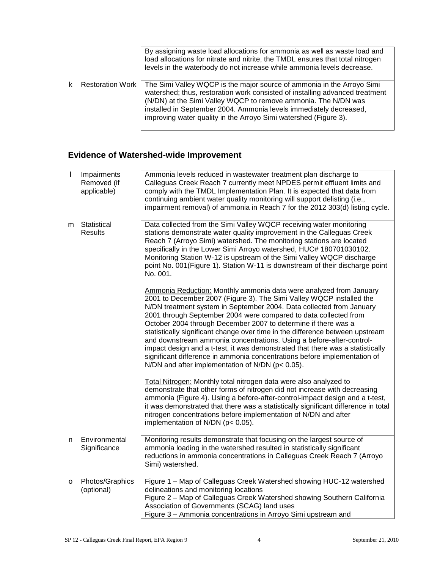|                         | By assigning waste load allocations for ammonia as well as waste load and<br>load allocations for nitrate and nitrite, the TMDL ensures that total nitrogen<br>levels in the waterbody do not increase while ammonia levels decrease.                                                                                                                              |
|-------------------------|--------------------------------------------------------------------------------------------------------------------------------------------------------------------------------------------------------------------------------------------------------------------------------------------------------------------------------------------------------------------|
| <b>Restoration Work</b> | The Simi Valley WQCP is the major source of ammonia in the Arroyo Simi<br>watershed; thus, restoration work consisted of installing advanced treatment<br>(N/DN) at the Simi Valley WQCP to remove ammonia. The N/DN was<br>installed in September 2004. Ammonia levels immediately decreased,<br>improving water quality in the Arroyo Simi watershed (Figure 3). |

### **Evidence of Watershed-wide Improvement**

| $\mathbf{I}$ | Impairments<br>Removed (if<br>applicable) | Ammonia levels reduced in wastewater treatment plan discharge to<br>Calleguas Creek Reach 7 currently meet NPDES permit effluent limits and<br>comply with the TMDL Implementation Plan. It is expected that data from<br>continuing ambient water quality monitoring will support delisting (i.e.,<br>impairment removal) of ammonia in Reach 7 for the 2012 303(d) listing cycle.                                                                                                                                                                                                                                                                                                                                                  |
|--------------|-------------------------------------------|--------------------------------------------------------------------------------------------------------------------------------------------------------------------------------------------------------------------------------------------------------------------------------------------------------------------------------------------------------------------------------------------------------------------------------------------------------------------------------------------------------------------------------------------------------------------------------------------------------------------------------------------------------------------------------------------------------------------------------------|
| m            | Statistical<br><b>Results</b>             | Data collected from the Simi Valley WQCP receiving water monitoring<br>stations demonstrate water quality improvement in the Calleguas Creek<br>Reach 7 (Arroyo Simi) watershed. The monitoring stations are located<br>specifically in the Lower Simi Arroyo watershed, HUC# 180701030102.<br>Monitoring Station W-12 is upstream of the Simi Valley WQCP discharge<br>point No. 001(Figure 1). Station W-11 is downstream of their discharge point<br>No. 001.                                                                                                                                                                                                                                                                     |
|              |                                           | Ammonia Reduction: Monthly ammonia data were analyzed from January<br>2001 to December 2007 (Figure 3). The Simi Valley WQCP installed the<br>N/DN treatment system in September 2004. Data collected from January<br>2001 through September 2004 were compared to data collected from<br>October 2004 through December 2007 to determine if there was a<br>statistically significant change over time in the difference between upstream<br>and downstream ammonia concentrations. Using a before-after-control-<br>impact design and a t-test, it was demonstrated that there was a statistically<br>significant difference in ammonia concentrations before implementation of<br>N/DN and after implementation of N/DN (p< 0.05). |
|              |                                           | Total Nitrogen: Monthly total nitrogen data were also analyzed to<br>demonstrate that other forms of nitrogen did not increase with decreasing<br>ammonia (Figure 4). Using a before-after-control-impact design and a t-test,<br>it was demonstrated that there was a statistically significant difference in total<br>nitrogen concentrations before implementation of N/DN and after<br>implementation of N/DN ( $p < 0.05$ ).                                                                                                                                                                                                                                                                                                    |
| n            | Environmental<br>Significance             | Monitoring results demonstrate that focusing on the largest source of<br>ammonia loading in the watershed resulted in statistically significant<br>reductions in ammonia concentrations in Calleguas Creek Reach 7 (Arroyo<br>Simi) watershed.                                                                                                                                                                                                                                                                                                                                                                                                                                                                                       |
| 0            | Photos/Graphics<br>(optional)             | Figure 1 - Map of Calleguas Creek Watershed showing HUC-12 watershed<br>delineations and monitoring locations<br>Figure 2 - Map of Calleguas Creek Watershed showing Southern California<br>Association of Governments (SCAG) land uses<br>Figure 3 - Ammonia concentrations in Arroyo Simi upstream and                                                                                                                                                                                                                                                                                                                                                                                                                             |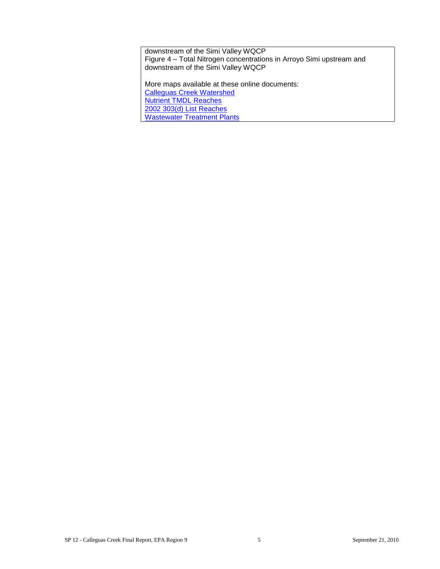downstream of the Simi Valley WQCP Figure 4 – Total Nitrogen concentrations in Arroyo Simi upstream and downstream of the Simi Valley WQCP

More maps available at these online documents: [Calleguas Creek Watershed](http://www.waterboards.ca.gov/losangeles/board_decisions/basin_plan_amendments/technical_documents/2002-017/02_0830/figure1.jpg) [Nutrient TMDL Reaches](http://www.waterboards.ca.gov/losangeles/board_decisions/basin_plan_amendments/technical_documents/2002-017/02_0830/02_0830_Figure%201-2.pdf) [2002 303\(d\) List Reaches](http://www.waterboards.ca.gov/losangeles/board_decisions/basin_plan_amendments/technical_documents/2002-017/02_0830/02_0830_Figure%20ES-1.pdf) [Wastewater Treatment Plants](http://www.waterboards.ca.gov/losangeles/board_decisions/basin_plan_amendments/technical_documents/2002-017/02_0830/02_0830_Figure%201-1.pdf)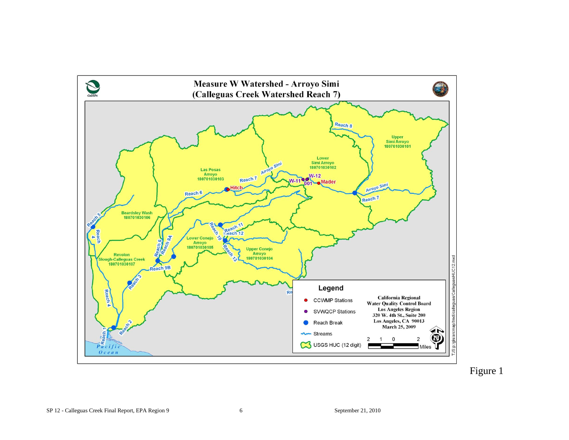

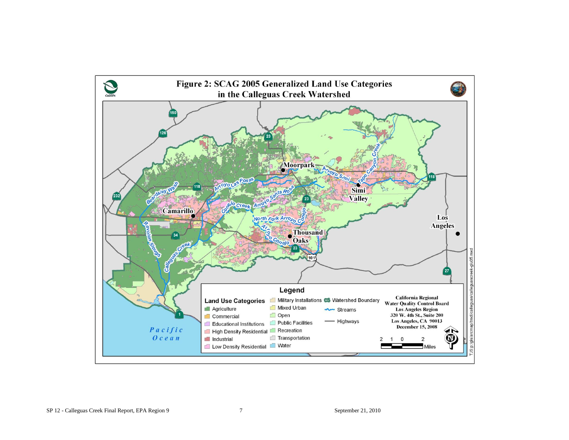